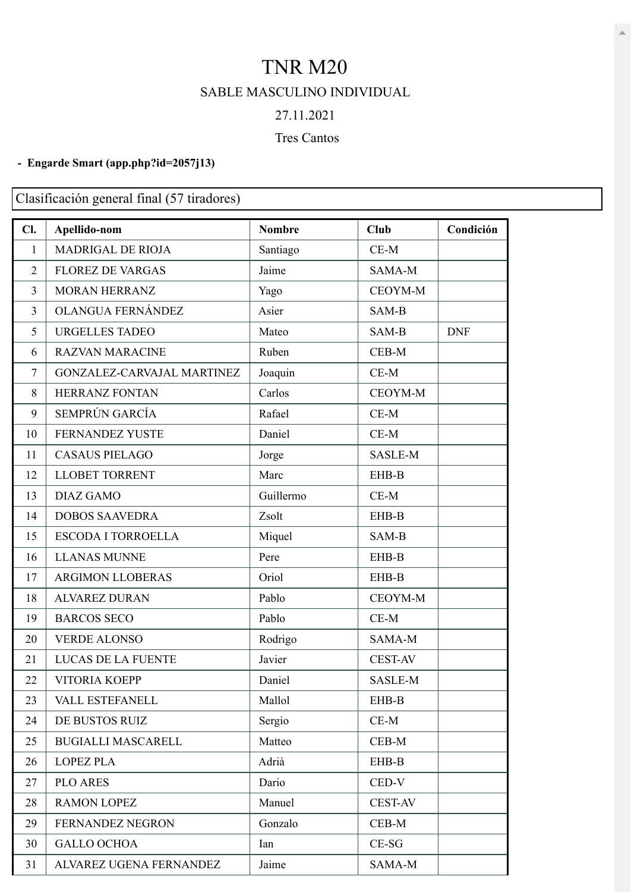## TNR M20 SABLE MASCULINO INDIVIDUAL 27.11.2021

## Tres Cantos

## **- Engarde Smart [\(app.php?id=2057j13\)](https://engarde-service.com/app.php?id=2057j13)**

Clasificación general final (57 tiradores)

| Cl.            | Apellido-nom               | <b>Nombre</b> | Club           | Condición  |
|----------------|----------------------------|---------------|----------------|------------|
| $\mathbf{1}$   | MADRIGAL DE RIOJA          | Santiago      | $CE-M$         |            |
| $\overline{2}$ | <b>FLOREZ DE VARGAS</b>    | Jaime         | SAMA-M         |            |
| 3              | MORAN HERRANZ              | Yago          | CEOYM-M        |            |
| 3              | OLANGUA FERNÁNDEZ          | Asier         | SAM-B          |            |
| 5              | <b>URGELLES TADEO</b>      | Mateo         | SAM-B          | <b>DNF</b> |
| 6              | <b>RAZVAN MARACINE</b>     | Ruben         | $CEB-M$        |            |
| 7              | GONZALEZ-CARVAJAL MARTINEZ | Joaquin       | $CE-M$         |            |
| 8              | HERRANZ FONTAN             | Carlos        | CEOYM-M        |            |
| 9              | SEMPRÚN GARCÍA             | Rafael        | $CE-M$         |            |
| 10             | FERNANDEZ YUSTE            | Daniel        | $CE-M$         |            |
| 11             | <b>CASAUS PIELAGO</b>      | Jorge         | SASLE-M        |            |
| 12             | <b>LLOBET TORRENT</b>      | Marc          | EHB-B          |            |
| 13             | <b>DIAZ GAMO</b>           | Guillermo     | $CE-M$         |            |
| 14             | <b>DOBOS SAAVEDRA</b>      | Zsolt         | EHB-B          |            |
| 15             | <b>ESCODA I TORROELLA</b>  | Miquel        | SAM-B          |            |
| 16             | <b>LLANAS MUNNE</b>        | Pere          | EHB-B          |            |
| 17             | <b>ARGIMON LLOBERAS</b>    | Oriol         | EHB-B          |            |
| 18             | <b>ALVAREZ DURAN</b>       | Pablo         | CEOYM-M        |            |
| 19             | <b>BARCOS SECO</b>         | Pablo         | $CE-M$         |            |
| 20             | <b>VERDE ALONSO</b>        | Rodrigo       | SAMA-M         |            |
| 21             | LUCAS DE LA FUENTE         | Javier        | <b>CEST-AV</b> |            |
| 22             | <b>VITORIA KOEPP</b>       | Daniel        | SASLE-M        |            |
| 23             | VALL ESTEFANELL            | Mallol        | EHB-B          |            |
| 24             | DE BUSTOS RUIZ             | Sergio        | $CE-M$         |            |
| 25             | <b>BUGIALLI MASCARELL</b>  | Matteo        | CEB-M          |            |
| 26             | <b>LOPEZ PLA</b>           | Adrià         | EHB-B          |            |
| 27             | <b>PLO ARES</b>            | Dario         | CED-V          |            |
| 28             | <b>RAMON LOPEZ</b>         | Manuel        | <b>CEST-AV</b> |            |
| 29             | FERNANDEZ NEGRON           | Gonzalo       | $CEB-M$        |            |
| 30             | <b>GALLO OCHOA</b>         | Ian           | $CE-SG$        |            |
| 31             | ALVAREZ UGENA FERNANDEZ    | Jaime         | SAMA-M         |            |